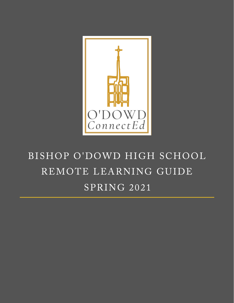

# BISHOP O'DOWD HIGH SCHOOL REMOTE LEARNING GUIDE SPRING 2021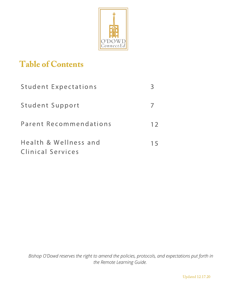

### Table of Contents

| <b>Student Expectations</b>                       |    |
|---------------------------------------------------|----|
| Student Support                                   |    |
| Parent Recommendations                            | 12 |
| Health & Wellness and<br><b>Clinical Services</b> | 15 |

*Bishop O'Dowd reserves the right to amend the policies, protocols, and expectations put forth in the Remote Learning Guide.*

Updated 12.17.20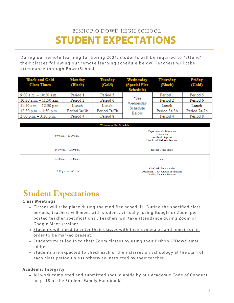### STUDENT EXPECTATIONS BISHOP O'DOWD HIGH SCHOOL

During our remote learning for Spring 2021, students will be required to "attend" their classes following our remote learning schedule below. Teachers will take attendance through PowerSchool.

| <b>Black and Gold</b><br><b>Class Times</b> | Monday<br>(Black) | Tuesday<br>(Gold) | Wednesday<br>(Special Flex<br><b>Schedule</b> ) | Thursday<br>(Black) | <b>Friday</b><br>(Gold) |
|---------------------------------------------|-------------------|-------------------|-------------------------------------------------|---------------------|-------------------------|
| $9:00$ a.m. $-10:20$ a.m.                   | Period 1          | Period 5          |                                                 | Period 1            | Period 5                |
| $10:30$ a.m. $-11:50$ a.m.                  | Period 2          | Period 6          | *See                                            | Period <sub>2</sub> | Period 6                |
| 11:50 a.m. $-$ 12:30 p.m.                   | Lunch             | Lunch             | Wednesday<br>Schedule                           | Lunch               | Lunch                   |
| 12:30 p.m. $-1:50$ p.m.                     | Period 3a/3b      | Period 7a/7b      | Below                                           | Period 3a/3b        | Period 7a/7b            |
| $2:00 p.m. - 3:20 p.m.$                     | Period 4          | Period 8          |                                                 | Period 4            | Period 8                |

| <b>Wednesday Flex Schedule</b> |                                                                                              |  |  |  |  |
|--------------------------------|----------------------------------------------------------------------------------------------|--|--|--|--|
| $9:00$ a.m. $-10:30$ a.m       | Department Collaboration<br>Counseling<br>Academic Support<br>Health and Wellness Services   |  |  |  |  |
| 10:30 a.m. $- 12:00$ p.m.      | Teacher Office Hours                                                                         |  |  |  |  |
| $12:00$ p.m. $- 12:30$ p.m.    | Lunch                                                                                        |  |  |  |  |
| $12:30$ p.m. $-3:00$ p.m.      | Co-Curricular Activities<br>Department Collaboration & Planning<br>Grading Time for Teachers |  |  |  |  |

### Student Expectations

### Class Meetings

- Classes will take place during the modified schedule. During the specified class periods, teachers will meet with students virtually (using Google or Zoom per posted teacher specifications). Teachers will take attendance during Zoom or Google Meet sessions.
- o Students will need to enter their classes with their camera on and remain on in order to be marked present.
- Students must log in to their Zoom classes by using their Bishop O'Dowd email address.
- Students are expected to check each of their classes on Schoology at the start of each class period unless otherwise instructed by their teacher.

### Academic Integrity

All work completed and submitted should abide by our Academic Code of Conduct on p. 18 of the [Student-Family](https://www.bishopodowd.org/pdfs/administrative/Student-Family%20Handbook.pdf) Handbook.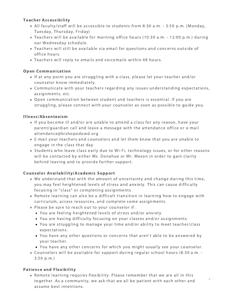### Teacher Accessibility

- All faculty/staff will be accessible to students from 8:30 a.m. 3:50 p.m. (Monday, Tuesday, Thursday, Friday)
- Teachers will be available for morning office hours (10:30 a.m. 12:00 p.m.) during our Wednesday schedule.
- Teachers will still be available via email for questions and concerns outside of office hours.
- Teachers will reply to emails and voicemails within 48 hours.

### Open Communication

- If at any point you are struggling with a class, please let your teacher and/or counselor know immediately.
- Communicate with your teachers regarding any issues understanding expectations, assignments, etc.
- Open communication between student and teachers is essential. If you are struggling, please connect with your counselor as soon as possible to guide you.

### Illness/Absenteeism

- If you become ill and/or are unable to attend a class for any reason, have your parent/guardian call and leave a message with the attendance office or e-mail attendance@bishopodowd.org
- E-mail your teachers and counselors and let them know that you are unable to engage in the class that day.
- Students who leave class early due to Wi-Fi, technology issues, or for other reasons will be contacted by either Ms. Donahue or Mr. Mason in order to gain clarity behind leaving and to provide further support.

### Counselor Availability/Academic Support

- We understand that with the amount of uncertainty and change during this time, you may feel heightened levels of stress and anxiety. This can cause difficulty focusing in "class" or completing assignments.
- Remote learning can also be a difficult transition in learning how to engage with curriculum, access resources, and complete some assignments.
- Please be sure to reach out to your counselor if:
	- You are feeling heightened levels of stress and/or anxiety.
	- You are having difficulty focusing on your classes and/or assignments.
	- You are struggling to manage your time and/or ability to meet teacher/class expectations.
	- You have any other questions or concerns that aren't able to be answered by your teacher.
	- You have any other concerns for which you might usually see your counselor.
- Counselors will be available for support during regular school hours (8:30 a.m. 3:50 p.m.)

### Patience and Flexibility

Remote learning requires flexibility. Please remember that we are all in this together. As a community, we ask that we all be patient with each other and assume best intentions.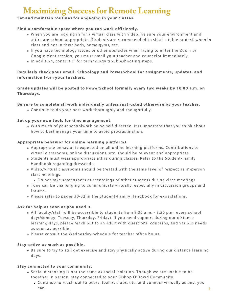### Maximizing Success for Remote Learning

### Set and maintain routines for engaging in your classes.

#### Find a comfortable space where you can work efficiently.

- When you are logging in for a virtual class with video, be sure your environment and attire are school appropriate. Students are recommended to sit at a table or desk when in class and not in their beds, home gyms, etc.
- If you have technology issues or other obstacles when trying to enter the Zoom or Google Meet session, you must email your teacher and counselor immediately.
- o In addition, contact IT for technology troubleshooting steps.

#### Regularly check your email, Schoology and PowerSchool for assignments, updates, and information from your teachers.

#### Grade updates will be posted to PowerSchool formally every two weeks by 10:00 a.m. on Thursdays.

#### Be sure to complete all work individually unless instructed otherwise by your teacher.

Continue to do your best work thoroughly and thoughtfully.

#### Set up your own tools for time management.

With much of your schoolwork being self-directed, it is important that you think about how to best manage your time to avoid procrastination.

#### Appropriate behavior for online learning platforms.

- Appropriate behavior is expected on all online learning platforms. Contributions to virtual classrooms, online discussions, etc. should be relevant and appropriate.
- Students must wear appropriate attire during classes. Refer to the Student-Family Handbook regarding dresscode.
- Video/virtual classrooms should be treated with the same level of respect as in-person class meetings.
	- Do not take screenshots or recordings of other students during class meetings
- Tone can be challenging to communicate virtually, especially in discussion groups and forums.
- o Please refer to pages 30-32 in the [Student-Family](https://www.bishopodowd.org/pdfs/administrative/Student-Family%20Handbook.pdf) Handbook for expectations.

### Ask for help as soon as you need it.

- All faculty/staff will be accessible to students from 8:30 a.m. 3:50 p.m. every school day(Monday, Tuesday, Thursday, Friday). If you need support during our distance learning days, please reach out to an adult with questions, concerns, and various needs as soon as possible.
- Please consult the Wednesday Schedule for teacher office hours.

#### Stay active as much as possible.

Be sure to try to still get exercise and stay physically active during our distance learning days.

### Stay connected to your community.

- Social distancing is not the same as social isolation. Though we are unable to be together in person, stay connected to your Bishop O'Dowd Community.
	- Continue to reach out to peers, teams, clubs, etc. and connect virtually as best you can.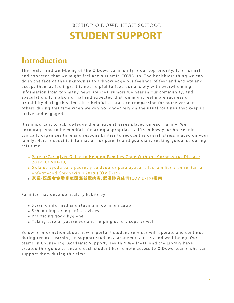### STUDENT SUPPORT BISHOP O'DOWD HIGH SCHOOL

### Introduction

The health and well-being of the O'Dowd community is our top priority. It is normal and expected that we might feel anxious amid COVID-19. The healthiest thing we can do in the face of the unknown is to acknowledge our feelings of fear and anxiety and accept them as feelings. It is not helpful to feed our anxiety with overwhelming information from too many news sources, rumors we hear in our community, and speculation. It is also normal and expec ted that we might feel more sadness or irritability during this time. It is helpful to practice compassion for ourselves and others during this time when we can no longer rely on the usual routines that keep us ac tive and engaged.

It is important to acknowledge the unique stresses placed on each family. We encourage you to be mindful of making appropriate shifts in how your household typically organizes time and responsibilities to reduce the overall stress placed on your family. Here is specific information for parents and guardians seeking guidance during this time.

- o [Parent/Caregiver](https://drive.google.com/file/d/1BwywWfzAlijHFwgveUK8-jovR2OdIR84/view) Guide to Helping Families Cope With the Coronavirus Disease 2019 (COVID-19)
- o Guía de ayuda para padres y cuidadores para ayudar a las familias a enfrentar la enfermedad [Coronavirus](https://drive.google.com/file/d/1KMc5JBf65lvo8mkPmP2NZkMYw2Mrzj1V/view) 2019 (COVID-19)
- 。家長/照顧者協助家庭因應新冠病毒/武漢肺炎疫情(COVID-19)指南

Families may develop healthy habits by:

- o Staying informed and staying in communication
- o Scheduling a range of activities
- o Practicing good hygiene
- o Taking care of yourselves and helping others cope as well

Below is information about how important student services will operate and continue during remote learning to support students' academic success and well-being. Our teams in Counseling, Academic Support, Health & Wellness, and the Library have c reated this guide to ensure each student has remote ac cess to O'Dowd teams who can support them during this time.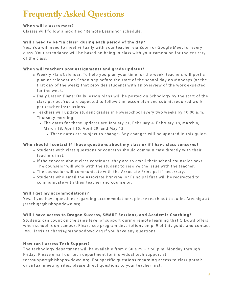### Frequently Asked Questions

#### When will classes meet?

Classes will follow a modified "Remote Learning" schedule.

#### Will I need to be "in class" during each period of the day?

Yes. You will need to meet virtually with your teacher via Zoom or Google Meet for every class. Your attendance will be based on being in class with your camera on for the entirety of the class.

#### When will teachers post assignments and grade updates?

- Weekly Plan/Calendar: To help you plan your time for the week, teachers will post a plan or calendar on Schoology before the start of the school day on Mondays (or the first day of the week) that provides students with an overview of the work expected for the week.
- Daily Lesson Plans: Daily lesson plans will be posted on Schoology by the start of the class period. You are expected to follow the lesson plan and submit required work per teacher instructions.
- Teachers will update student grades in PowerSchool every two weeks by 10:00 a.m. Thursday morning.
	- The dates for these updates are January 21, February 4, February 18, March 4, March 18, April 15, April 29, and May 13.
		- These dates are subject to change. Any changes will be updated in this guide.

#### Who should I contact if I have questions about my class or if I have class concerns?

- Students with class questions or concerns should communicate directly with their teachers first.
- If the concern about class continues, they are to email their school counselor next. The counselor will work with the student to resolve the issue with the teacher.
- The counselor will communicate with the Associate Principal if necessary.
- Students who email the Associate Principal or Principal first will be redirected to communicate with their teacher and counselor.

#### Will I get my accommodations?

Yes. If you have questions regarding accommodations, please reach out to Juliet Arechiga at jarechiga@bishopodowd.org.

#### Will I have access to Dragon Success, SMART Sessions, and Academic Coaching?

Students can count on the same level of support during remote learning that O'Dowd offers when school is on campus. Please see program descriptions on p. 9 of this guide and contact Ms. Harris at charris@bishopodowd.org if you have any questions.

#### How can I access Tech Support?

The technology department will be available from 8:30 a.m. - 3:50 p.m. Monday through Friday. Please email our tech department for individual tech support at techsupport@bishopowdowd.org. For specific questions regarding access to class portals or virtual meeting sites, please direct questions to your teacher first.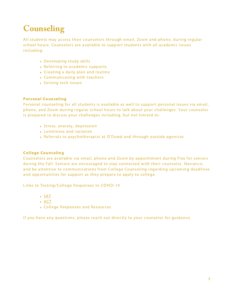### **Counseling**

All students may access their counselors through email, Zoom and phone, during regular school hours. Counselors are available to support students with all academic issues including:

- Developing study skills
- Referring to academic supports
- Creating a daily plan and routine
- Communicating with teachers
- Solving tech issues

#### Personal Counseling

Personal counseling for all students is available as well to support personal issues via email, phone, and Zoom during regular school hours to talk about your challenges. Your counselor is prepared to discuss your challenges including, but not limited to:

- Stress, anxiety, depression
- **Loneliness and isolation**
- Referrals to psychotherapist at O'Dowd and through outside agencies

#### College Counseling

Counselors are available via email, phone and Zoom by appointment during Flex for seniors during the Fall. Seniors are encouraged to stay connected with their counselor, Naviance, and be attentive to communications from College Counseling regarding upcoming deadlines and opportunities for support as they prepare to apply to college.

Links to Testing/College Responses to COVID-19

- $-SAT$  $-SAT$
- [ACT](https://www.act.org/content/act/en/covid-19.html)
- College [Responses](http://nacacnet.org/college-admission-status-coronavirus) and Resources

If you have any questions, please reach out directly to your counselor for guidance.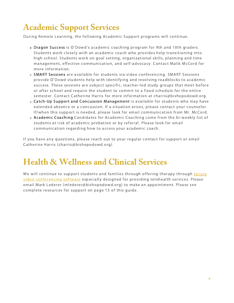### Academic Support Services

During Remote Learning, the following Academic Support programs will continue.

- Dragon Success is O'Dowd's academic coaching program for 9th and 10th graders. Students work closely with an academic coach who provides help transitioning into high school. Students work on goal setting, organizational skills, planning and time management, effective communication, and self-advocacy. Contact Malik McCord for more information.
- SMART Sessions are available for students via video conferencing. SMART Sessions provide O'Dowd students help with identifying and resolving roadblocks to academic success. These sessions are subject specific, teacher-led study groups that meet before or after school and require the student to commit to a fixed schedule for the entire semester. Contact Catherine Harris for more information at charris@bishopodowd.org.
- Catch-Up Support and Concussion Management is available for students who may have extended absence or a concussion. If a situation arises, please contact your counselor. If/when this support is needed, please look for email communication from Mr. McCord.
- Academic Coaching Candidates for Academic Coaching come from the bi-weekly list of students at risk of academic probation or by referral. Please look for email communication regarding how to access your academic coach.

If you have any questions, please reach out to your regular contact for support or email Catherine Harris (charris@bishopodowd.org).

### Health & Wellness and Clinical Services

We will continue to support students and families through offering therapy through secure video [conferencing](https://drive.google.com/file/d/1RAUHXRkR2Mm0WHwqJTNWwvbWhIhkd3Rm/view) software especially designed for providing telehealth services. Please email Mark Lederer (mlederer@bishopodowd.org) to make an appointment. Please see complete resources for support on page 15 of this guide.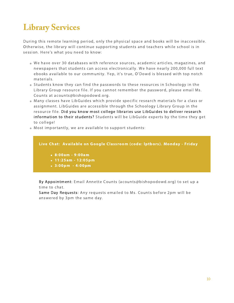### Library Services

During this remote learning period, only the physical space and books will be inaccessible. Otherwise, the library will continue supporting students and teachers while school is in session. Here's what you need to know:

- We have over 30 databases with reference sources, academic articles, magazines, and newspapers that students can access electronically. We have nearly 200,000 full text ebooks available to our community. Yep, it's true, O'Dowd is blessed with top notch materials.
- Students know they can find the passwords to these resources in Schoology in the Library Group resource file. If you cannot remember the password, please email Ms. Counts at acounts@bishopodowd.org.
- Many classes have LibGuides which provide specific research materials for a class or assignment. LibGuides are accessible through the Schoology Library Group in the resource file. Did you know most college libraries use LibGuides to deliver research information to their students? Students will be LibGuide experts by the time they get to college!
- Most importantly, we are available to support students:

#### Live Chat: Available on Google Classroom (code: lptbors). Monday - Friday

- 8:00am 9:00am
- 11:25am 12:05pm
- 3:00pm 4:00pm

By Appointment: Email Annette Counts (acounts@bishopodowd.org) to set up a time to chat.

Same Day Requests: Any requests emailed to Ms. Counts before 2pm will be answered by 3pm the same day.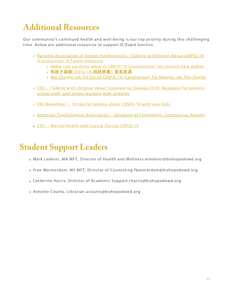### Additional Resources

Our community's continued health and well-being is our top priority during this challenging time. Below are additional resources to support O'Dowd families.

- National Association of School Psychologists --Talking to Children About COVID-19 [\(Coronavirus\):](https://www.nasponline.org/resources-and-publications/resources-and-podcasts/school-climate-safety-and-crisis/health-crisis-resources/talking-to-children-about-covid-19-(coronavirus)-a-parent-resource) A Parent Resource
	- · Hable con sus hijos sobre el COVID-19 [\(Coronavirus\):](https://drive.google.com/file/d/11W6reCTynT3IZAY5Jjen5k2CdyY21sGr/view?usp=sharing) Un recurso para padres
	- · 和孩子談論COVID-19(冠狀病毒): 家長資源
	- Nói Chuyện với Trẻ Em về COVID-19 [\(Coronavirus\)](https://drive.google.com/file/d/10vLh-QMiOz4_EOdYb9DuiwKmLXUUwL2q/view?usp=sharing) Tài Nguyên cho Phụ Huynh
- CDC -- Talking with children about [Coronavirus](https://www.cdc.gov/coronavirus/2019-ncov/community/schools-childcare/talking-with-children.html) Disease 2019: Messages for parents, school staff, and others working with children
- PBS [NewsHour](https://www.pbs.org/newshour/health/10-tips-for-talking-about-covid-19-with-your-kids) -- 10 tips for talking about COVID-19 with your kids
- American [Psychological](https://www.apa.org/research/action/speaking-of-psychology/coronavirus-anxiety) Association -- Speaking of Psychology: Coronavirus Anxiety
- CDC -- Mental Health and Coping During [COVID-19](https://app.getresponse.com/click.html?x=a62b&lc=SBkDze&mc=Ip&s=Yp8jli&u=SeOId&y=2&z=EwPWGYm&)

### Student Support Leaders

- Mark Lederer, MA MFT, Director of Health and Wellness mlederer@bishopodowd.org
- Fran Warmerdam, MS MFT, Director of Counseling fwarmerdam@bishopodowd.org
- Catherine Harris, Director of Academic Support charris@bishopodowd.org
- Annette Counts, Librarian acounts@bishopodowd.org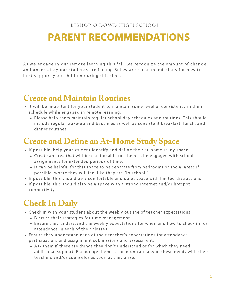### BISHOP O'DOWD HIGH SCHOOL

# PARENT RECOMMENDATIONS

As we engage in our remote learning this fall, we recognize the amount of change and uncertainty our students are facing. Below are recommendations for how to best support your children during this time.

### Create and Maintain Routines

- It will be important for your student to maintain some level of consistency in their schedule while engaged in remote learning.
	- Please help them maintain regular school day schedules and routines. This should include regular wake-up and bedtimes as well as consistent breakfast, lunch, and dinner routines.

### Create and Define an At-Home Study Space

- If possible, help your student identify and define their at-home study space.
	- Create an area that will be comfortable for them to be engaged with school assignments for extended periods of time.
	- It can be helpful for this space to be separate from bedrooms or social areas if possible, where they will feel like they are "in school."
- If possible, this should be a comfortable and quiet space with limited distractions.
- If possible, this should also be a space with a strong internet and/or hotspot connectivity.

### Check In Daily

- Check in with your student about the weekly outline of teacher expectations.
	- Discuss their strategies for time management.
	- Ensure they understand the weekly expectations for when and how to check in for attendance in each of their classes.
- Ensure they understand each of their teacher's expectations for attendance, participation, and assignment submissions and assessment.
	- Ask them if there are things they don't understand or for which they need additional support. Encourage them to communicate any of these needs with their teachers and/or counselor as soon as they arise.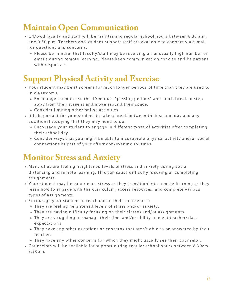### Maintain Open Communication

- O'Dowd faculty and staff will be maintaining regular school hours between 8:30 a.m. and 3:50 p.m. Teachers and student support staff are available to connect via e-mail for questions and concerns.
	- Please be mindful that faculty/staff may be receiving an unusually high number of emails during remote learning. Please keep communication concise and be patient with responses.

### Support Physical Activity and Exercise

- Your student may be at screens for much longer periods of time than they are used to in classrooms.
	- Encourage them to use the 10-minute "passing periods" and lunch break to step away from their screens and move around their space.
	- Consider limiting other online activities.
- It is important for your student to take a break between their school day and any additional studying that they may need to do.
	- Encourage your student to engage in different types of activities after completing their school day.
	- Consider ways that you might be able to incorporate physical activity and/or social connections as part of your afternoon/evening routines.

### Monitor Stress and Anxiety

- Many of us are feeling heightened levels of stress and anxiety during social distancing and remote learning. This can cause difficulty focusing or completing assignments.
- Your student may be experience stress as they transition into remote learning as they learn how to engage with the curriculum, access resources, and complete various types of assignments.
- Encourage your student to reach out to their counselor if:
	- They are feeling heightened levels of stress and/or anxiety.
	- They are having difficulty focusing on their classes and/or assignments.
	- They are struggling to manage their time and/or ability to meet teacher/class expectations.
	- They have any other questions or concerns that aren't able to be answered by their teacher.
	- They have any other concerns for which they might usually see their counselor.
- Counselors will be available for support during regular school hours between 8:30am-3:50pm.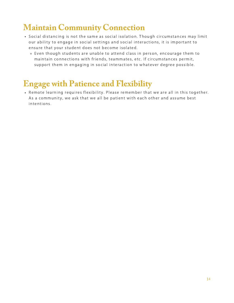### Maintain Community Connection

- Social distancing is not the same as social isolation. Though circumstances may limit our ability to engage in social settings and social interactions, it is important to ensure that your student does not become isolated.
	- Even though students are unable to attend class in person, encourage them to maintain connections with friends, teammates, etc. If circumstances permit, support them in engaging in social interaction to whatever degree possible.

### Engage with Patience and Flexibility

Remote learning requires flexibility. Please remember that we are all in this together. As a community, we ask that we all be patient with each other and assume best intentions.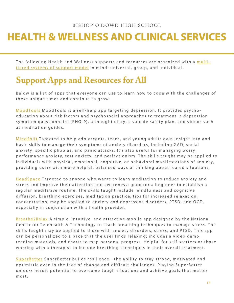### BISHOP O'DOWD HIGH SCHOOL

## HEALTH & WELLNESS AND CLINICAL SERVICES

The following Health and Wellness supports and resources are organized with a multitiered systems of support model in mind: universal, group, and [individual](https://schoolguide.casel.org/uploads/2019/01/SEL_MTSS-and-PBIS.pdf).

### Support Apps and Resources for All

Below is a list of apps that everyone can use to learn how to cope with the challenges of these unique times and continue to grow.

[MoodTools](http://www.moodtools.org/) MoodTools is a self-help app targeting depression. It provides psychoeducation about risk factors and psychosocial approaches to treatment, a depression symptom questionnaire (PHQ-9), a thought diary, a suicide safety plan, and videos such as meditation guides.

[MindShift](https://www.anxietybc.com/resources/mindshift-app) Targeted to help adolescents, teens, and young adults gain insight into and basic skills to manage their symptoms of anxiety disorders, including GAD, social anxiety, specific phobias, and panic attacks. It's also useful for managing worry, performance anxiety, test anxiety, and perfectionism. The skills taught may be applied to individuals with physical, emotional, cognitive, or behavioral manifestations of anxiety, providing users with more helpful, balanced ways of thinking about feared situations.

[HeadSpace](https://www.headspace.com/headspace-meditation-app) Targeted to anyone who wants to learn meditation to reduce anxiety and stress and improve their attention and awareness; good for a beginner to establish a regular meditative routine. The skills taught include mindfulness and cognitive diffusion, breathing exercises, meditation practice, tips for increased relaxation, concentration; may be applied to anxiety and depressive disorders, PTSD, and OCD, especially in conjunction with a health provider.

[Breathe2Relax](https://itunes.apple.com/us/app/breathe2relax/id425720246?mt=8) A simple, intuitive, and attractive mobile app designed by the National Center for Telehealth & Technology to teach breathing techniques to manage stress. The skills taught may be applied to those with anxiety disorders, stress, and PTSD. This app can be personalized to a pace that the user finds relaxing; includes a video demo, reading materials, and charts to map personal progress. Helpful for self-starters or those working with a therapist to include breathing techniques in their overall treatment.

[SuperBetter](https://www.superbetter.com/) SuperBetter builds resilience - the ability to stay strong, motivated and optimistic even in the face of change and difficult challenges. Playing SuperBetter unlocks heroic potential to overcome tough situations and achieve goals that matter most.